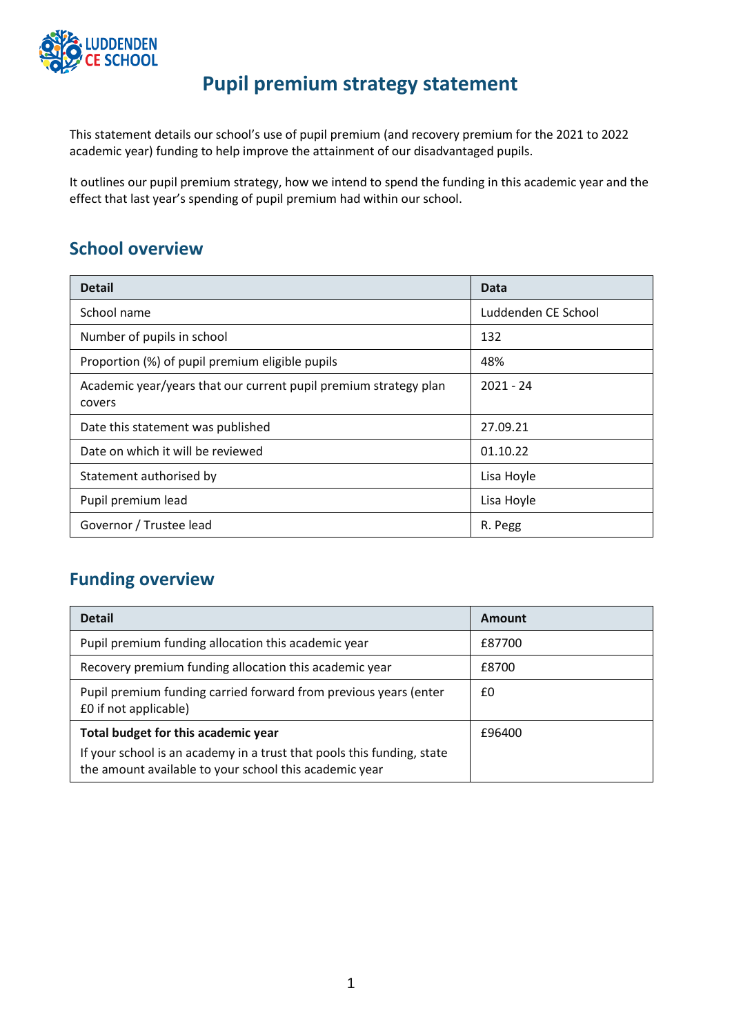

# **Pupil premium strategy statement**

This statement details our school's use of pupil premium (and recovery premium for the 2021 to 2022 academic year) funding to help improve the attainment of our disadvantaged pupils.

It outlines our pupil premium strategy, how we intend to spend the funding in this academic year and the effect that last year's spending of pupil premium had within our school.

#### **School overview**

| <b>Detail</b>                                                              | Data                |
|----------------------------------------------------------------------------|---------------------|
| School name                                                                | Luddenden CE School |
| Number of pupils in school                                                 | 132                 |
| Proportion (%) of pupil premium eligible pupils                            | 48%                 |
| Academic year/years that our current pupil premium strategy plan<br>covers | $2021 - 24$         |
| Date this statement was published                                          | 27.09.21            |
| Date on which it will be reviewed                                          | 01.10.22            |
| Statement authorised by                                                    | Lisa Hoyle          |
| Pupil premium lead                                                         | Lisa Hoyle          |
| Governor / Trustee lead                                                    | R. Pegg             |

## **Funding overview**

| <b>Detail</b>                                                                                                                    | Amount |
|----------------------------------------------------------------------------------------------------------------------------------|--------|
| Pupil premium funding allocation this academic year                                                                              | £87700 |
| Recovery premium funding allocation this academic year                                                                           | £8700  |
| Pupil premium funding carried forward from previous years (enter<br>£0 if not applicable)                                        | £0     |
| Total budget for this academic year                                                                                              | £96400 |
| If your school is an academy in a trust that pools this funding, state<br>the amount available to your school this academic year |        |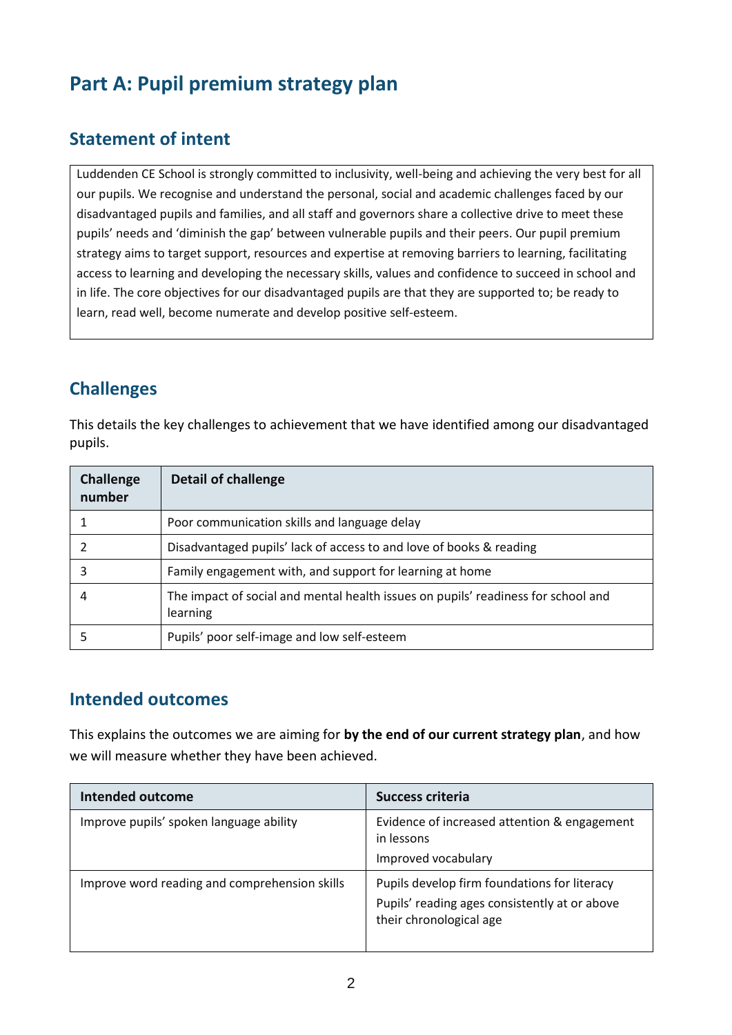# **Part A: Pupil premium strategy plan**

### **Statement of intent**

Luddenden CE School is strongly committed to inclusivity, well-being and achieving the very best for all our pupils. We recognise and understand the personal, social and academic challenges faced by our disadvantaged pupils and families, and all staff and governors share a collective drive to meet these pupils' needs and 'diminish the gap' between vulnerable pupils and their peers. Our pupil premium strategy aims to target support, resources and expertise at removing barriers to learning, facilitating access to learning and developing the necessary skills, values and confidence to succeed in school and in life. The core objectives for our disadvantaged pupils are that they are supported to; be ready to learn, read well, become numerate and develop positive self-esteem.

## **Challenges**

This details the key challenges to achievement that we have identified among our disadvantaged pupils.

| Challenge<br>number | <b>Detail of challenge</b>                                                                    |
|---------------------|-----------------------------------------------------------------------------------------------|
|                     | Poor communication skills and language delay                                                  |
|                     | Disadvantaged pupils' lack of access to and love of books & reading                           |
| 3                   | Family engagement with, and support for learning at home                                      |
|                     | The impact of social and mental health issues on pupils' readiness for school and<br>learning |
|                     | Pupils' poor self-image and low self-esteem                                                   |

#### **Intended outcomes**

This explains the outcomes we are aiming for **by the end of our current strategy plan**, and how we will measure whether they have been achieved.

| <b>Intended outcome</b>                       | <b>Success criteria</b>                                                                                                  |
|-----------------------------------------------|--------------------------------------------------------------------------------------------------------------------------|
| Improve pupils' spoken language ability       | Evidence of increased attention & engagement<br>in lessons<br>Improved vocabulary                                        |
| Improve word reading and comprehension skills | Pupils develop firm foundations for literacy<br>Pupils' reading ages consistently at or above<br>their chronological age |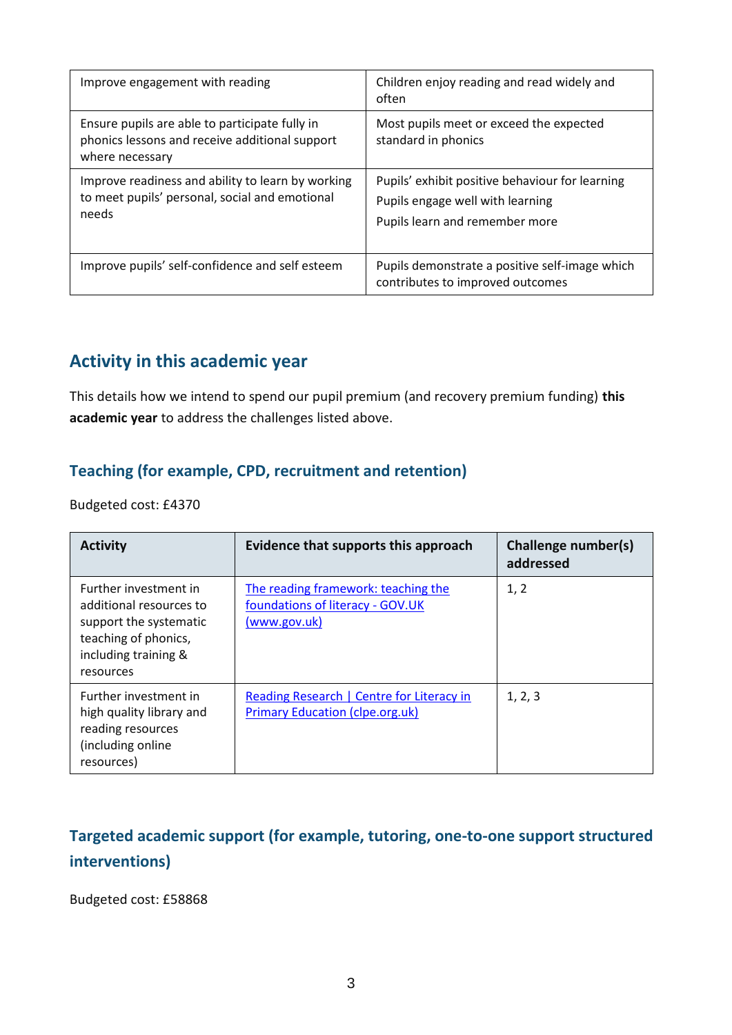| Improve engagement with reading                                                                                     | Children enjoy reading and read widely and<br>often                                                                   |
|---------------------------------------------------------------------------------------------------------------------|-----------------------------------------------------------------------------------------------------------------------|
| Ensure pupils are able to participate fully in<br>phonics lessons and receive additional support<br>where necessary | Most pupils meet or exceed the expected<br>standard in phonics                                                        |
| Improve readiness and ability to learn by working<br>to meet pupils' personal, social and emotional<br>needs        | Pupils' exhibit positive behaviour for learning<br>Pupils engage well with learning<br>Pupils learn and remember more |
| Improve pupils' self-confidence and self esteem                                                                     | Pupils demonstrate a positive self-image which<br>contributes to improved outcomes                                    |

### **Activity in this academic year**

This details how we intend to spend our pupil premium (and recovery premium funding) **this academic year** to address the challenges listed above.

#### **Teaching (for example, CPD, recruitment and retention)**

Budgeted cost: £4370

| <b>Activity</b>                                                                                                                         | Evidence that supports this approach                                                    | Challenge number(s)<br>addressed |
|-----------------------------------------------------------------------------------------------------------------------------------------|-----------------------------------------------------------------------------------------|----------------------------------|
| Further investment in<br>additional resources to<br>support the systematic<br>teaching of phonics,<br>including training &<br>resources | The reading framework: teaching the<br>foundations of literacy - GOV.UK<br>(www.gov.uk) | 1, 2                             |
| Further investment in<br>high quality library and<br>reading resources<br>(including online<br>resources)                               | Reading Research   Centre for Literacy in<br><b>Primary Education (clpe.org.uk)</b>     | 1, 2, 3                          |

### **Targeted academic support (for example, tutoring, one-to-one support structured interventions)**

Budgeted cost: £58868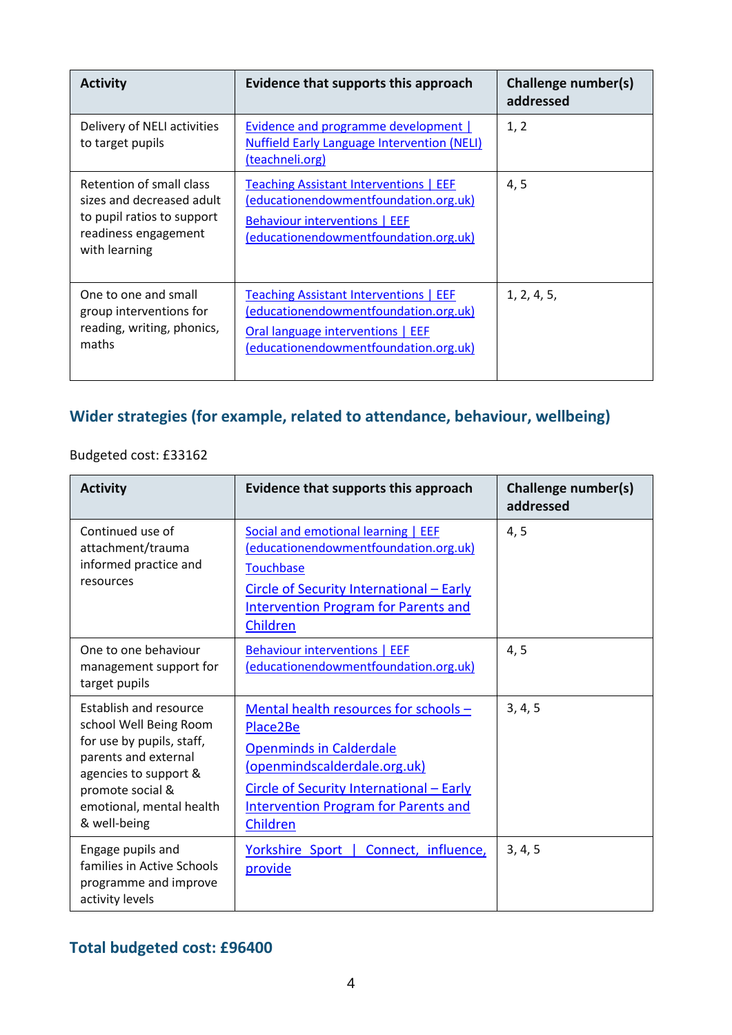| <b>Activity</b>                                                                                                              | Evidence that supports this approach                                                                                                                                 | Challenge number(s)<br>addressed |
|------------------------------------------------------------------------------------------------------------------------------|----------------------------------------------------------------------------------------------------------------------------------------------------------------------|----------------------------------|
| Delivery of NELI activities<br>to target pupils                                                                              | <b>Evidence and programme development  </b><br><b>Nuffield Early Language Intervention (NELI)</b><br>(teachneli.org)                                                 | 1, 2                             |
| Retention of small class<br>sizes and decreased adult<br>to pupil ratios to support<br>readiness engagement<br>with learning | <b>Teaching Assistant Interventions   EEF</b><br>(educationendowmentfoundation.org.uk)<br>Behaviour interventions   EEF<br>(educationendowmentfoundation.org.uk)     | 4,5                              |
| One to one and small<br>group interventions for<br>reading, writing, phonics,<br>maths                                       | <b>Teaching Assistant Interventions   EEF</b><br>(educationendowmentfoundation.org.uk)<br>Oral language interventions   EEF<br>(educationendowmentfoundation.org.uk) | 1, 2, 4, 5,                      |

## **Wider strategies (for example, related to attendance, behaviour, wellbeing)**

#### Budgeted cost: £33162

| <b>Activity</b>                                                                                                                                                                                | Evidence that supports this approach                                                                                                                                                                                       | Challenge number(s)<br>addressed |
|------------------------------------------------------------------------------------------------------------------------------------------------------------------------------------------------|----------------------------------------------------------------------------------------------------------------------------------------------------------------------------------------------------------------------------|----------------------------------|
| Continued use of<br>attachment/trauma<br>informed practice and<br>resources                                                                                                                    | Social and emotional learning   EEF<br>(educationendowmentfoundation.org.uk)<br>Touchbase<br>Circle of Security International - Early<br><b>Intervention Program for Parents and</b><br>Children                           | 4, 5                             |
| One to one behaviour<br>management support for<br>target pupils                                                                                                                                | <b>Behaviour interventions   EEF</b><br>(educationendowmentfoundation.org.uk)                                                                                                                                              | 4, 5                             |
| Establish and resource<br>school Well Being Room<br>for use by pupils, staff,<br>parents and external<br>agencies to support &<br>promote social &<br>emotional, mental health<br>& well-being | Mental health resources for schools -<br>Place2Be<br><b>Openminds in Calderdale</b><br>(openmindscalderdale.org.uk)<br>Circle of Security International - Early<br><b>Intervention Program for Parents and</b><br>Children | 3, 4, 5                          |
| Engage pupils and<br>families in Active Schools<br>programme and improve<br>activity levels                                                                                                    | Connect, influence,<br>Yorkshire Sport  <br>provide                                                                                                                                                                        | 3, 4, 5                          |

### **Total budgeted cost: £96400**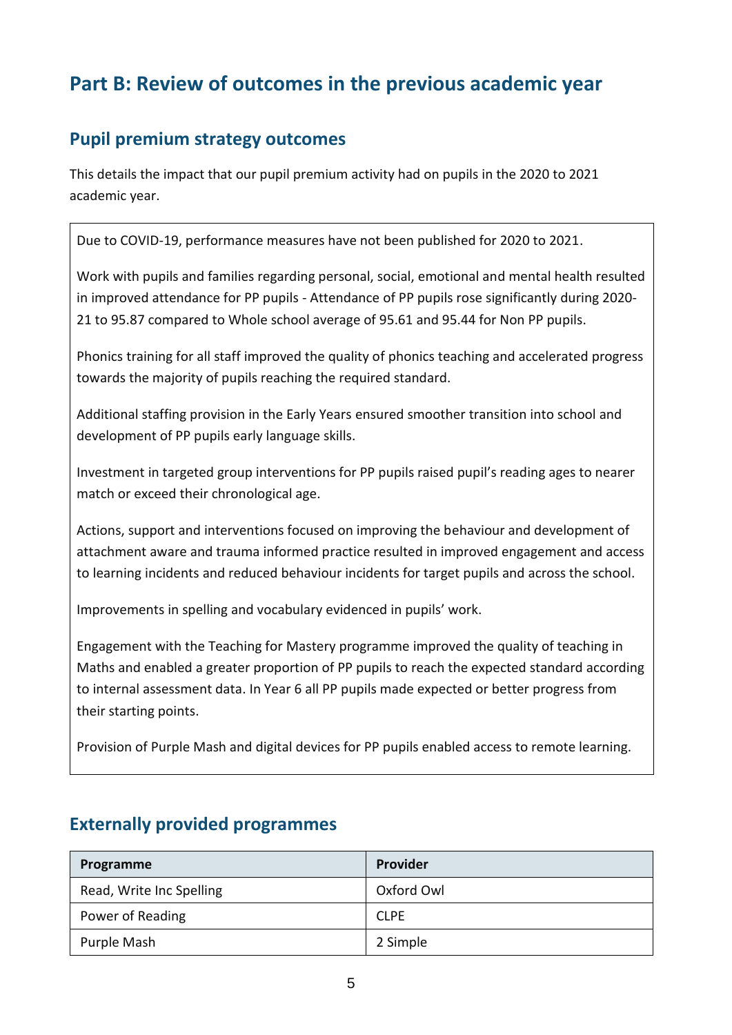# **Part B: Review of outcomes in the previous academic year**

#### **Pupil premium strategy outcomes**

This details the impact that our pupil premium activity had on pupils in the 2020 to 2021 academic year.

Due to COVID-19, performance measures have not been published for 2020 to 2021.

Work with pupils and families regarding personal, social, emotional and mental health resulted in improved attendance for PP pupils - Attendance of PP pupils rose significantly during 2020- 21 to 95.87 compared to Whole school average of 95.61 and 95.44 for Non PP pupils.

Phonics training for all staff improved the quality of phonics teaching and accelerated progress towards the majority of pupils reaching the required standard.

Additional staffing provision in the Early Years ensured smoother transition into school and development of PP pupils early language skills.

Investment in targeted group interventions for PP pupils raised pupil's reading ages to nearer match or exceed their chronological age.

Actions, support and interventions focused on improving the behaviour and development of attachment aware and trauma informed practice resulted in improved engagement and access to learning incidents and reduced behaviour incidents for target pupils and across the school.

Improvements in spelling and vocabulary evidenced in pupils' work.

Engagement with the Teaching for Mastery programme improved the quality of teaching in Maths and enabled a greater proportion of PP pupils to reach the expected standard according to internal assessment data. In Year 6 all PP pupils made expected or better progress from their starting points.

Provision of Purple Mash and digital devices for PP pupils enabled access to remote learning.

| Programme                | Provider    |
|--------------------------|-------------|
| Read, Write Inc Spelling | Oxford Owl  |
| Power of Reading         | <b>CLPE</b> |
| Purple Mash              | 2 Simple    |

#### **Externally provided programmes**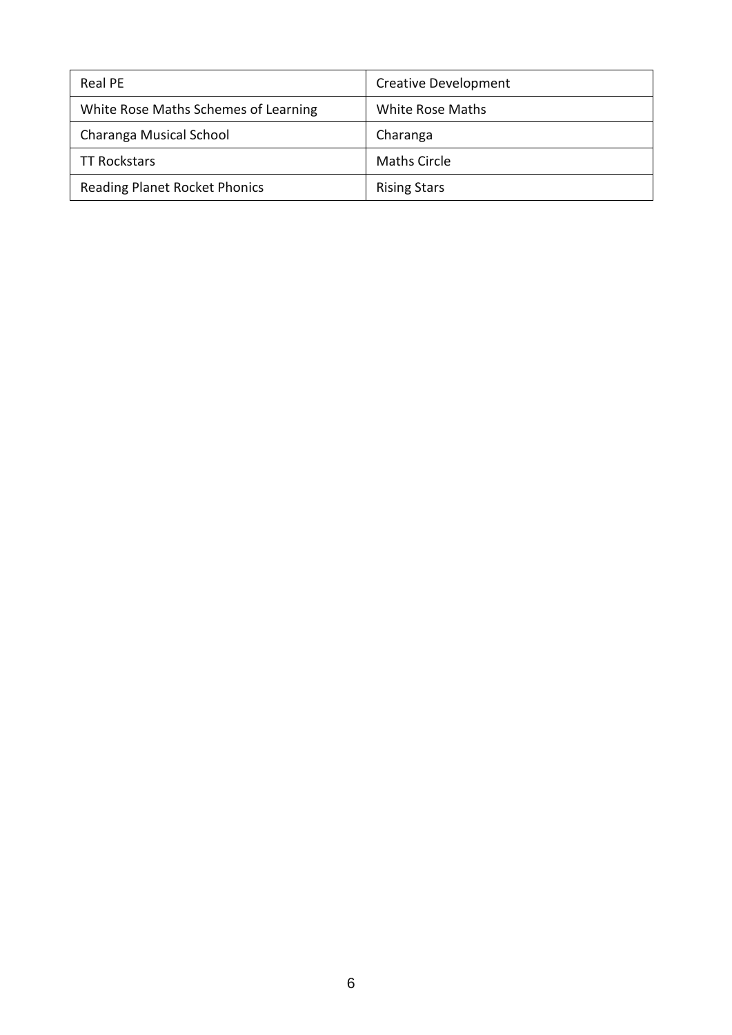| <b>Real PE</b>                       | <b>Creative Development</b> |
|--------------------------------------|-----------------------------|
| White Rose Maths Schemes of Learning | White Rose Maths            |
| Charanga Musical School              | Charanga                    |
| <b>TT Rockstars</b>                  | Maths Circle                |
| <b>Reading Planet Rocket Phonics</b> | <b>Rising Stars</b>         |